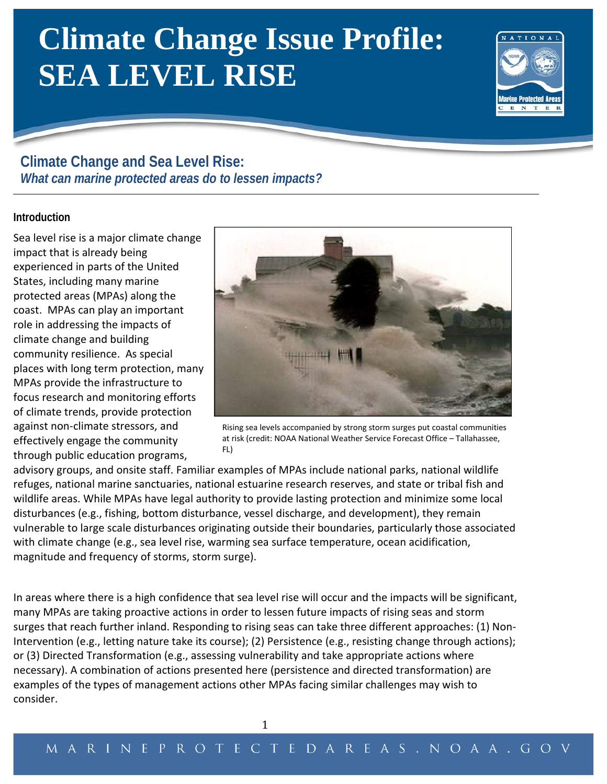# **Climate Change Issue Profile: SEA LEVEL RISE**



# **Climate Change and Sea Level Rise:** *What can marine protected areas do to lessen impacts?*

# **Introduction**

Sea level rise is a major climate change impact that is already being experienced in parts of the United States, including many marine protected areas (MPAs) along the coast. MPAs can play an important role in addressing the impacts of climate change and building community resilience. As special places with long term protection, many MPAs provide the infrastructure to focus research and monitoring efforts of climate trends, provide protection against non-climate stressors, and effectively engage the community through public education programs,



Rising sea levels accompanied by strong storm surges put coastal communities at risk (credit: NOAA National Weather Service Forecast Office – Tallahassee, FL)

advisory groups, and onsite staff. Familiar examples of MPAs include national parks, national wildlife refuges, national marine sanctuaries, national estuarine research reserves, and state or tribal fish and wildlife areas. While MPAs have legal authority to provide lasting protection and minimize some local disturbances (e.g., fishing, bottom disturbance, vessel discharge, and development), they remain vulnerable to large scale disturbances originating outside their boundaries, particularly those associated with climate change (e.g., sea level rise, warming sea surface temperature, ocean acidification, magnitude and frequency of storms, storm surge).

In areas where there is a high confidence that sea level rise will occur and the impacts will be significant, many MPAs are taking proactive actions in order to lessen future impacts of rising seas and storm surges that reach further inland. Responding to rising seas can take three different approaches: (1) Non-Intervention (e.g., letting nature take its course); (2) Persistence (e.g., resisting change through actions); or (3) Directed Transformation (e.g., assessing vulnerability and take appropriate actions where necessary). A combination of actions presented here (persistence and directed transformation) are examples of the types of management actions other MPAs facing similar challenges may wish to consider.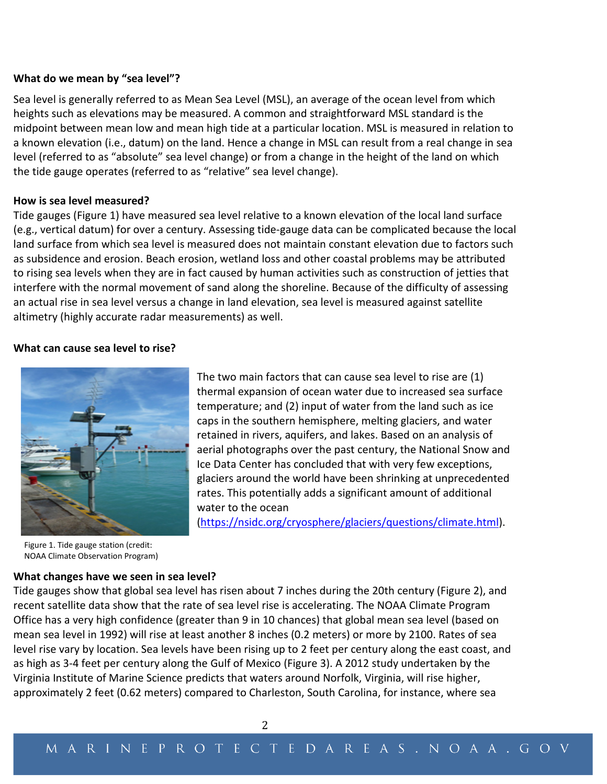#### **What do we mean by "sea level"?**

Sea level is generally referred to as Mean Sea Level (MSL), an average of the ocean level from which heights such as elevations may be measured. A common and straightforward MSL standard is the midpoint between mean low and mean high tide at a particular location. MSL is measured in relation to a known elevation (i.e., datum) on the land. Hence a change in MSL can result from a real change in sea level (referred to as "absolute" sea level change) or from a change in the height of the land on which the tide gauge operates (referred to as "relative" sea level change).

## **How is sea level measured?**

Tide gauges (Figure 1) have measured sea level relative to a known elevation of the local land surface (e.g., vertical datum) for over a century. Assessing tide-gauge data can be complicated because the local land surface from which sea level is measured does not maintain constant elevation due to factors such as subsidence and erosion. Beach erosion, wetland loss and other coastal problems may be attributed to rising sea levels when they are in fact caused by human activities such as construction of jetties that interfere with the normal movement of sand along the shoreline. Because of the difficulty of assessing an actual rise in sea level versus a change in land elevation, sea level is measured against satellite altimetry (highly accurate radar measurements) as well.

## **What can cause sea level to rise?**



The two main factors that can cause sea level to rise are (1) thermal expansion of ocean water due to increased sea surface temperature; and (2) input of water from the land such as ice caps in the southern hemisphere, melting glaciers, and water retained in rivers, aquifers, and lakes. Based on an analysis of aerial photographs over the past century, the National Snow and Ice Data Center has concluded that with very few exceptions, glaciers around the world have been shrinking at unprecedented rates. This potentially adds a significant amount of additional water to the ocean

[\(https://nsidc.org/cryosphere/glaciers/questions/climate.html\)](https://nsidc.org/cryosphere/glaciers/questions/climate.html).

Figure 1. Tide gauge station (credit: NOAA Climate Observation Program)

## **What changes have we seen in sea level?**

Tide gauges show that global sea level has risen about 7 inches during the 20th century (Figure 2), and recent satellite data show that the rate of sea level rise is accelerating. The NOAA Climate Program Office has a very high confidence (greater than 9 in 10 chances) that global mean sea level (based on mean sea level in 1992) will rise at least another 8 inches (0.2 meters) or more by 2100. Rates of sea level rise vary by location. Sea levels have been rising up to 2 feet per century along the east coast, and as high as 3-4 feet per century along the Gulf of Mexico (Figure 3). A 2012 study undertaken by the Virginia Institute of Marine Science predicts that waters around Norfolk, Virginia, will rise higher, approximately 2 feet (0.62 meters) compared to Charleston, South Carolina, for instance, where sea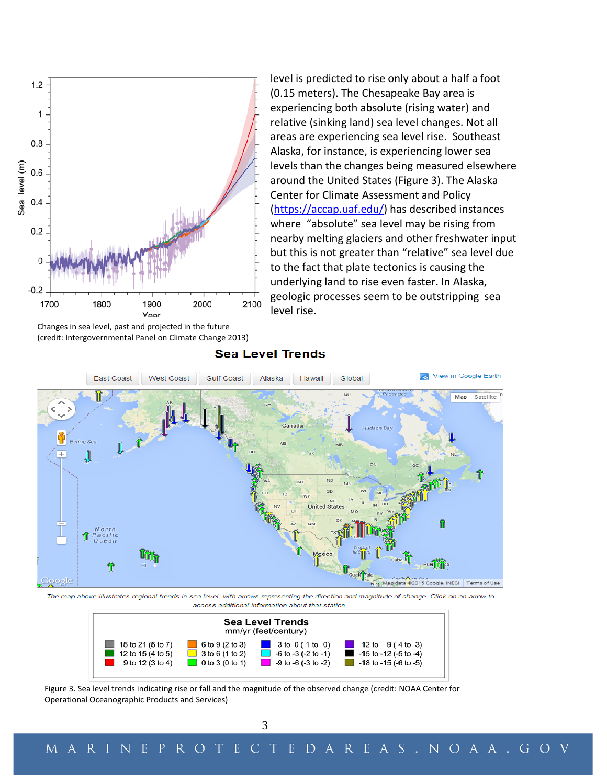

Changes in sea level, past and projected in the future (credit: Intergovernmental Panel on Climate Change 2013)

level is predicted to rise only about a half a foot (0.15 meters). The Chesapeake Bay area is experiencing both absolute (rising water) and relative (sinking land) sea level changes. Not all areas are experiencing sea level rise. Southeast Alaska, for instance, is experiencing lower sea levels than the changes being measured elsewhere around the United States (Figure 3). The Alaska Center for Climate Assessment and Policy [\(https://accap.uaf.edu/\)](https://accap.uaf.edu/) has described instances where "absolute" sea level may be rising from nearby melting glaciers and other freshwater input but this is not greater than "relative" sea level due to the fact that plate tectonics is causing the underlying land to rise even faster. In Alaska, geologic processes seem to be outstripping sea level rise.



**Sea Level Trends** 

The map above illustrates regional trends in sea level, with arrows representing the direction and magnitude of change. Click on an arrow to access additional information about that station



Figure 3. Sea level trends indicating rise or fall and the magnitude of the observed change (credit: NOAA Center for Operational Oceanographic Products and Services)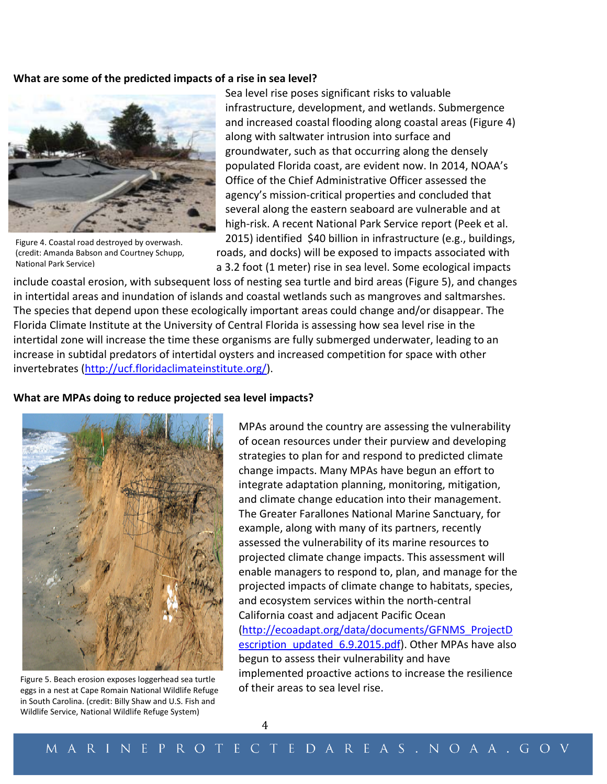#### **What are some of the predicted impacts of a rise in sea level?**



Figure 4. Coastal road destroyed by overwash. (credit: Amanda Babson and Courtney Schupp, National Park Service)

Sea level rise poses significant risks to valuable infrastructure, development, and wetlands. Submergence and increased coastal flooding along coastal areas (Figure 4) along with saltwater intrusion into surface and groundwater, such as that occurring along the densely populated Florida coast, are evident now. In 2014, NOAA's Office of the Chief Administrative Officer assessed the agency's mission-critical properties and concluded that several along the eastern seaboard are vulnerable and at high-risk. A recent National Park Service report (Peek et al. 2015) identified \$40 billion in infrastructure (e.g., buildings,

roads, and docks) will be exposed to impacts associated with a 3.2 foot (1 meter) rise in sea level. Some ecological impacts

include coastal erosion, with subsequent loss of nesting sea turtle and bird areas (Figure 5), and changes in intertidal areas and inundation of islands and coastal wetlands such as mangroves and saltmarshes. The species that depend upon these ecologically important areas could change and/or disappear. The Florida Climate Institute at the University of Central Florida is assessing how sea level rise in the intertidal zone will increase the time these organisms are fully submerged underwater, leading to an increase in subtidal predators of intertidal oysters and increased competition for space with other invertebrates [\(http://ucf.floridaclimateinstitute.org/\)](http://ucf.floridaclimateinstitute.org/).

#### **What are MPAs doing to reduce projected sea level impacts?**



Figure 5. Beach erosion exposes loggerhead sea turtle<br>eggs in a nest at Cape Romain National Wildlife Refuge of their areas to sea level rise. in South Carolina. (credit: Billy Shaw and U.S. Fish and Wildlife Service, National Wildlife Refuge System)

MPAs around the country are assessing the vulnerability of ocean resources under their purview and developing strategies to plan for and respond to predicted climate change impacts. Many MPAs have begun an effort to integrate adaptation planning, monitoring, mitigation, and climate change education into their management. The Greater Farallones National Marine Sanctuary, for example, along with many of its partners, recently assessed the vulnerability of its marine resources to projected climate change impacts. This assessment will enable managers to respond to, plan, and manage for the projected impacts of climate change to habitats, species, and ecosystem services within the north-central California coast and adjacent Pacific Ocean [\(http://ecoadapt.org/data/documents/GFNMS\\_ProjectD](http://ecoadapt.org/data/documents/GFNMS_ProjectDescription_updated_6.9.2015.pdf) [escription\\_updated\\_6.9.2015.pdf\)](http://ecoadapt.org/data/documents/GFNMS_ProjectDescription_updated_6.9.2015.pdf). Other MPAs have also begun to assess their vulnerability and have implemented proactive actions to increase the resilience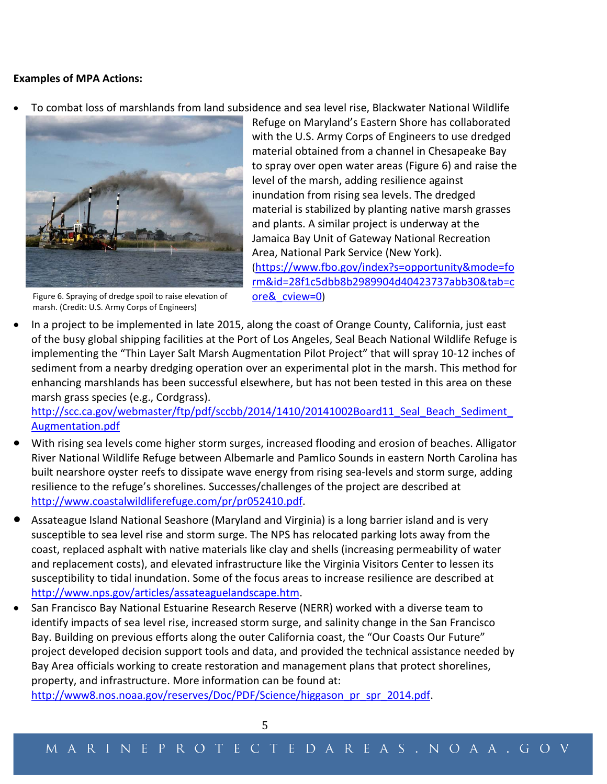#### **Examples of MPA Actions:**

• To combat loss of marshlands from land subsidence and sea level rise, Blackwater National Wildlife



Figure 6. Spraying of dredge spoil to raise elevation of marsh. (Credit: U.S. Army Corps of Engineers)

Refuge on Maryland's Eastern Shore has collaborated with the U.S. Army Corps of Engineers to use dredged material obtained from a channel in Chesapeake Bay to spray over open water areas (Figure 6) and raise the level of the marsh, adding resilience against inundation from rising sea levels. The dredged material is stabilized by planting native marsh grasses and plants. A similar project is underway at the Jamaica Bay Unit of Gateway National Recreation Area, National Park Service (New York). [\(https://www.fbo.gov/index?s=opportunity&mode=fo](https://www.fbo.gov/index?s=opportunity&mode=form&id=28f1c5dbb8b2989904d40423737abb30&tab=core&_cview=0) [rm&id=28f1c5dbb8b2989904d40423737abb30&tab=c](https://www.fbo.gov/index?s=opportunity&mode=form&id=28f1c5dbb8b2989904d40423737abb30&tab=core&_cview=0) [ore&\\_cview=0\)](https://www.fbo.gov/index?s=opportunity&mode=form&id=28f1c5dbb8b2989904d40423737abb30&tab=core&_cview=0)

• In a project to be implemented in late 2015, along the coast of Orange County, California, just east of the busy global shipping facilities at the Port of Los Angeles, Seal Beach National Wildlife Refuge is implementing the "Thin Layer Salt Marsh Augmentation Pilot Project" that will spray 10-12 inches of sediment from a nearby dredging operation over an experimental plot in the marsh. This method for enhancing marshlands has been successful elsewhere, but has not been tested in this area on these marsh grass species (e.g., Cordgrass).

http://scc.ca.gov/webmaster/ftp/pdf/sccbb/2014/1410/20141002Board11\_Seal\_Beach\_Sediment [Augmentation.pdf](http://scc.ca.gov/webmaster/ftp/pdf/sccbb/2014/1410/20141002Board11_Seal_Beach_Sediment_Augmentation.pdf)

- With rising sea levels come higher storm surges, increased flooding and erosion of beaches. Alligator River National Wildlife Refuge between Albemarle and Pamlico Sounds in eastern North Carolina has built nearshore oyster reefs to dissipate wave energy from rising sea-levels and storm surge, adding resilience to the refuge's shorelines. Successes/challenges of the project are described at [http://www.coastalwildliferefuge.com/pr/pr052410.pdf.](http://www.coastalwildliferefuge.com/pr/pr052410.pdf)
- Assateague Island National Seashore (Maryland and Virginia) is a long barrier island and is very susceptible to sea level rise and storm surge. The NPS has relocated parking lots away from the coast, replaced asphalt with native materials like clay and shells (increasing permeability of water and replacement costs), and elevated infrastructure like the Virginia Visitors Center to lessen its susceptibility to tidal inundation. Some of the focus areas to increase resilience are described at [http://www.nps.gov/articles/assateaguelandscape.htm.](http://www.nps.gov/articles/assateaguelandscape.htm)
- San Francisco Bay National Estuarine Research Reserve (NERR) worked with a diverse team to identify impacts of sea level rise, increased storm surge, and salinity change in the San Francisco Bay. Building on previous efforts along the outer California coast, the "Our Coasts Our Future" project developed decision support tools and data, and provided the technical assistance needed by Bay Area officials working to create restoration and management plans that protect shorelines, property, and infrastructure. More information can be found at: [http://www8.nos.noaa.gov/reserves/Doc/PDF/Science/higgason\\_pr\\_spr\\_2014.pdf.](http://www8.nos.noaa.gov/reserves/Doc/PDF/Science/higgason_pr_spr_2014.pdf)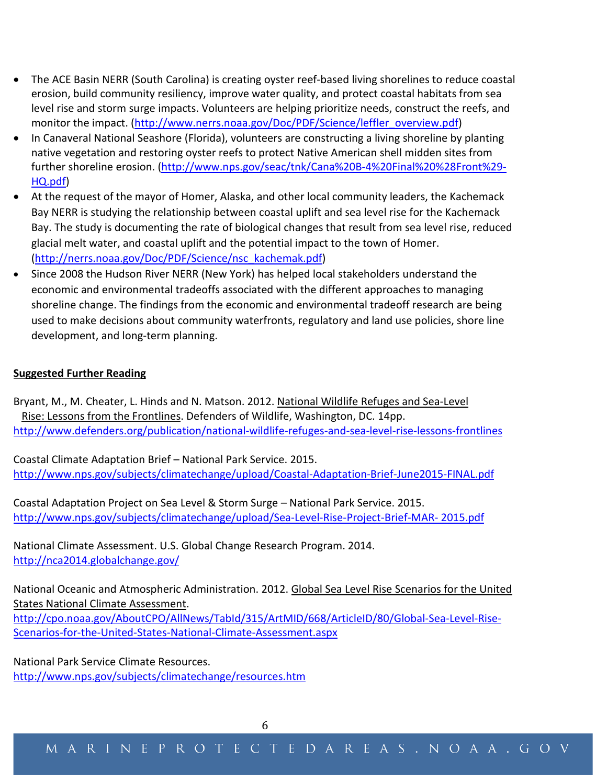- The ACE Basin NERR (South Carolina) is creating oyster reef-based living shorelines to reduce coastal erosion, build community resiliency, improve water quality, and protect coastal habitats from sea level rise and storm surge impacts. Volunteers are helping prioritize needs, construct the reefs, and monitor the impact. [\(http://www.nerrs.noaa.gov/Doc/PDF/Science/leffler\\_overview.pdf\)](http://www.nerrs.noaa.gov/Doc/PDF/Science/leffler_overview.pdf)
- In Canaveral National Seashore (Florida), volunteers are constructing a living shoreline by planting native vegetation and restoring oyster reefs to protect Native American shell midden sites from further shoreline erosion. [\(http://www.nps.gov/seac/tnk/Cana%20B-4%20Final%20%28Front%29-](http://www.nps.gov/seac/tnk/Cana%20B-4%20Final%20%28Front%29-HQ.pdf) [HQ.pdf\)](http://www.nps.gov/seac/tnk/Cana%20B-4%20Final%20%28Front%29-HQ.pdf)
- At the request of the mayor of Homer, Alaska, and other local community leaders, the Kachemack Bay NERR is studying the relationship between coastal uplift and sea level rise for the Kachemack Bay. The study is documenting the rate of biological changes that result from sea level rise, reduced glacial melt water, and coastal uplift and the potential impact to the town of Homer. [\(http://nerrs.noaa.gov/Doc/PDF/Science/nsc\\_kachemak.pdf\)](http://nerrs.noaa.gov/Doc/PDF/Science/nsc_kachemak.pdf)
- Since 2008 the Hudson River NERR (New York) has helped local stakeholders understand the economic and environmental tradeoffs associated with the different approaches to managing shoreline change. The findings from the economic and environmental tradeoff research are being used to make decisions about community waterfronts, regulatory and land use policies, shore line development, and long-term planning.

# **Suggested Further Reading**

Bryant, M., M. Cheater, L. Hinds and N. Matson. 2012. National Wildlife Refuges and Sea-Level Rise: Lessons from the Frontlines. Defenders of Wildlife, Washington, DC. 14pp. <http://www.defenders.org/publication/national-wildlife-refuges-and-sea-level-rise-lessons-frontlines>

Coastal Climate Adaptation Brief – National Park Service. 2015. <http://www.nps.gov/subjects/climatechange/upload/Coastal-Adaptation-Brief-June2015-FINAL.pdf>

Coastal Adaptation Project on Sea Level & Storm Surge – National Park Service. 2015. [http://www.nps.gov/subjects/climatechange/upload/Sea-Level-Rise-Project-Brief-MAR-](http://www.nps.gov/subjects/climatechange/upload/Sea-Level-Rise-Project-Brief-MAR-%202015.pdf) 2015.pdf

National Climate Assessment. U.S. Global Change Research Program. 2014. <http://nca2014.globalchange.gov/>

National Oceanic and Atmospheric Administration. 2012. Global Sea Level Rise Scenarios for the United States National Climate Assessment. [http://cpo.noaa.gov/AboutCPO/AllNews/TabId/315/ArtMID/668/ArticleID/80/Global-Sea-Level-Rise-](http://cpo.noaa.gov/AboutCPO/AllNews/TabId/315/ArtMID/668/ArticleID/80/Global-Sea-Level-Rise-Scenarios-for-the-United-States-National-Climate-Assessment.aspx)[Scenarios-for-the-United-States-National-Climate-Assessment.aspx](http://cpo.noaa.gov/AboutCPO/AllNews/TabId/315/ArtMID/668/ArticleID/80/Global-Sea-Level-Rise-Scenarios-for-the-United-States-National-Climate-Assessment.aspx)

National Park Service Climate Resources.

<http://www.nps.gov/subjects/climatechange/resources.htm>